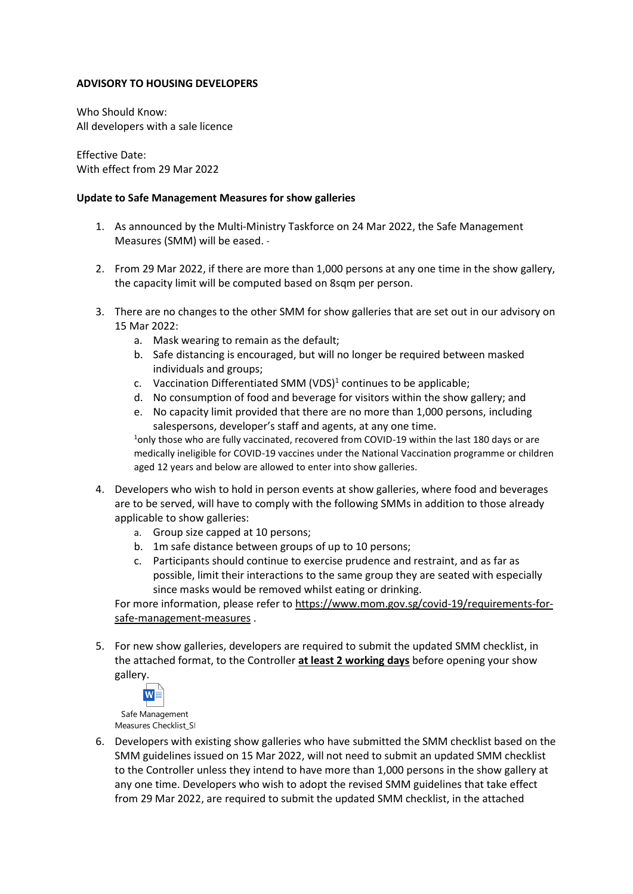## **ADVISORY TO HOUSING DEVELOPERS**

Who Should Know: All developers with a sale licence

Effective Date: With effect from 29 Mar 2022

## **Update to Safe Management Measures for show galleries**

- 1. As announced by the Multi-Ministry Taskforce on 24 Mar 2022, the Safe Management Measures (SMM) will be eased.
- 2. From 29 Mar 2022, if there are more than 1,000 persons at any one time in the show gallery, the capacity limit will be computed based on 8sqm per person.
- 3. There are no changes to the other SMM for show galleries that are set out in our advisory on 15 Mar 2022:
	- a. Mask wearing to remain as the default;
	- b. Safe distancing is encouraged, but will no longer be required between masked individuals and groups;
	- c. Vaccination Differentiated SMM (VDS)<sup>1</sup> continues to be applicable;
	- d. No consumption of food and beverage for visitors within the show gallery; and
	- e. No capacity limit provided that there are no more than 1,000 persons, including salespersons, developer's staff and agents, at any one time.

<sup>1</sup>only those who are fully vaccinated, recovered from COVID-19 within the last 180 days or are medically ineligible for COVID-19 vaccines under the National Vaccination programme or children aged 12 years and below are allowed to enter into show galleries.

- 4. Developers who wish to hold in person events at show galleries, where food and beverages are to be served, will have to comply with the following SMMs in addition to those already applicable to show galleries:
	- a. Group size capped at 10 persons;
	- b. 1m safe distance between groups of up to 10 persons;
	- c. Participants should continue to exercise prudence and restraint, and as far as possible, limit their interactions to the same group they are seated with especially since masks would be removed whilst eating or drinking.

For more information, please refer t[o https://www.mom.gov.sg/covid-19/requirements-for](https://www.mom.gov.sg/covid-19/requirements-for-safe-management-measures)[safe-management-measures](https://www.mom.gov.sg/covid-19/requirements-for-safe-management-measures) .

5. For new show galleries, developers are required to submit the updated SMM checklist, in the attached format, to the Controller **at least 2 working days** before opening your show gallery.



Safe Management Measures Checklist\_SI

6. Developers with existing show galleries who have submitted the SMM checklist based on the SMM guidelines issued on 15 Mar 2022, will not need to submit an updated SMM checklist to the Controller unless they intend to have more than 1,000 persons in the show gallery at any one time. Developers who wish to adopt the revised SMM guidelines that take effect from 29 Mar 2022, are required to submit the updated SMM checklist, in the attached